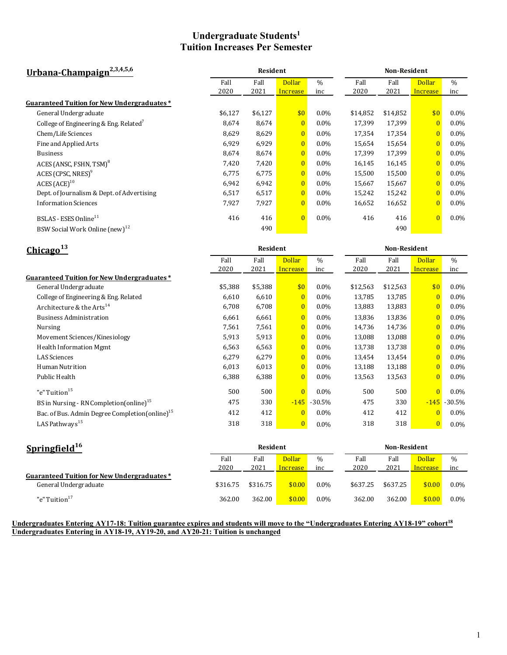# **Undergraduate Students1 Tuition Increases Per Semester**

| Urbana-Champaign <sup>2,3,4,5,6</sup>              |         |         | <b>Non-Resident</b> |               |          |          |                |               |
|----------------------------------------------------|---------|---------|---------------------|---------------|----------|----------|----------------|---------------|
|                                                    | Fall    | Fall    | <b>Dollar</b>       | $\frac{0}{0}$ | Fall     | Fall     | <b>Dollar</b>  | $\frac{0}{0}$ |
|                                                    | 2020    | 2021    | Increase            | inc           | 2020     | 2021     | Increase       | inc           |
| Guaranteed Tuition for New Undergraduates*         |         |         |                     |               |          |          |                |               |
| General Undergraduate                              | \$6,127 | \$6,127 | \$0                 | $0.0\%$       | \$14,852 | \$14,852 | \$0            | $0.0\%$       |
| College of Engineering & Eng. Related <sup>7</sup> | 8,674   | 8,674   | $\overline{0}$      | $0.0\%$       | 17,399   | 17,399   | $\overline{0}$ | $0.0\%$       |
| Chem/Life Sciences                                 | 8,629   | 8,629   | $\overline{0}$      | $0.0\%$       | 17,354   | 17,354   | $\overline{0}$ | $0.0\%$       |
| Fine and Applied Arts                              | 6,929   | 6,929   | $\overline{0}$      | $0.0\%$       | 15,654   | 15,654   | $\overline{0}$ | $0.0\%$       |
| <b>Business</b>                                    | 8,674   | 8,674   | $\overline{0}$      | $0.0\%$       | 17,399   | 17,399   | $\overline{0}$ | $0.0\%$       |
| ACES (ANSC, FSHN, TSM) <sup>8</sup>                | 7,420   | 7,420   | $\overline{0}$      | $0.0\%$       | 16,145   | 16,145   | $\overline{0}$ | $0.0\%$       |
| ACES (CPSC, NRES) <sup>9</sup>                     | 6,775   | 6,775   | $\overline{0}$      | $0.0\%$       | 15,500   | 15,500   | $\overline{0}$ | $0.0\%$       |
| ACES (ACE) <sup>10</sup>                           | 6,942   | 6,942   | $\overline{0}$      | $0.0\%$       | 15,667   | 15,667   | $\overline{0}$ | $0.0\%$       |
| Dept. of Journalism & Dept. of Advertising         | 6,517   | 6,517   | $\overline{0}$      | $0.0\%$       | 15,242   | 15,242   | $\overline{0}$ | $0.0\%$       |
| <b>Information Sciences</b>                        | 7,927   | 7,927   | $\overline{0}$      | $0.0\%$       | 16,652   | 16,652   | $\overline{0}$ | $0.0\%$       |
| BSLAS - ESES Online <sup>11</sup>                  | 416     | 416     | $\overline{0}$      | $0.0\%$       | 416      | 416      | $\overline{0}$ | $0.0\%$       |
| BSW Social Work Online (new) <sup>12</sup>         |         | 490     |                     |               |          | 490      |                |               |

| Chicago <sup>13</sup>                                      |         | <b>Non-Resident</b> |                |               |          |          |                |           |
|------------------------------------------------------------|---------|---------------------|----------------|---------------|----------|----------|----------------|-----------|
|                                                            | Fall    | Fall                | <b>Dollar</b>  | $\frac{0}{0}$ | Fall     | Fall     | <b>Dollar</b>  | $\%$      |
|                                                            | 2020    | 2021                | Increase       | inc           | 2020     | 2021     | Increase       | inc       |
| <b>Guaranteed Tuition for New Undergraduates*</b>          |         |                     |                |               |          |          |                |           |
| General Undergraduate                                      | \$5,388 | \$5,388             | \$0            | $0.0\%$       | \$12,563 | \$12,563 | \$0            | $0.0\%$   |
| College of Engineering & Eng. Related                      | 6,610   | 6,610               | $\overline{0}$ | $0.0\%$       | 13,785   | 13,785   | $\overline{0}$ | $0.0\%$   |
| Architecture & the Arts <sup>14</sup>                      | 6,708   | 6,708               | $\overline{0}$ | $0.0\%$       | 13,883   | 13,883   | $\overline{0}$ | $0.0\%$   |
| <b>Business Administration</b>                             | 6,661   | 6,661               | $\overline{0}$ | $0.0\%$       | 13,836   | 13,836   | $\overline{0}$ | $0.0\%$   |
| <b>Nursing</b>                                             | 7,561   | 7,561               | $\overline{0}$ | $0.0\%$       | 14,736   | 14,736   | $\overline{0}$ | $0.0\%$   |
| Movement Sciences/Kinesiology                              | 5,913   | 5,913               | $\overline{0}$ | $0.0\%$       | 13,088   | 13,088   | $\overline{0}$ | $0.0\%$   |
| Health Information Mgmt                                    | 6,563   | 6,563               | $\overline{0}$ | $0.0\%$       | 13,738   | 13,738   | $\overline{0}$ | $0.0\%$   |
| <b>LAS</b> Sciences                                        | 6,279   | 6,279               | $\overline{0}$ | $0.0\%$       | 13,454   | 13,454   | $\overline{0}$ | $0.0\%$   |
| Human Nutrition                                            | 6,013   | 6,013               | $\overline{0}$ | $0.0\%$       | 13,188   | 13,188   | $\overline{0}$ | $0.0\%$   |
| Public Health                                              | 6,388   | 6,388               | $\overline{0}$ | $0.0\%$       | 13,563   | 13,563   | $\overline{0}$ | $0.0\%$   |
| "e" Tuition <sup>15</sup>                                  | 500     | 500                 | $\overline{0}$ | $0.0\%$       | 500      | 500      | $\overline{0}$ | $0.0\%$   |
| BS in Nursing - RN Completion (online) <sup>15</sup>       | 475     | 330                 | $-145$         | $-30.5%$      | 475      | 330      | $-145$         | $-30.5\%$ |
| Bac. of Bus. Admin Degree Completion(online) <sup>15</sup> | 412     | 412                 | $\overline{0}$ | $0.0\%$       | 412      | 412      | $\overline{0}$ | $0.0\%$   |
| LAS Pathways <sup>15</sup>                                 | 318     | 318                 | $\overline{0}$ | $0.0\%$       | 318      | 318      | $\overline{0}$ | $0.0\%$   |

| Springfield $16$                                  | Resident |          |               |         | Non-Resident |          |               |               |
|---------------------------------------------------|----------|----------|---------------|---------|--------------|----------|---------------|---------------|
|                                                   | Fall     | Fall     | <b>Dollar</b> | $\%$    | Fall         | Fall     | <b>Dollar</b> | $\frac{0}{0}$ |
|                                                   | 2020     | 2021     | Increase      | inc     | 2020         | 2021     | Increase      | inc           |
| <b>Guaranteed Tuition for New Undergraduates*</b> |          |          |               |         |              |          |               |               |
| General Undergraduate                             | \$316.75 | \$316.75 | \$0.00        | $0.0\%$ | \$637.25     | \$637.25 | \$0.00        | $0.0\%$       |
| "e" Tuition <sup>17</sup>                         | 362.00   | 362.00   | \$0.00        | $0.0\%$ | 362.00       | 362.00   | \$0.00        | $0.0\%$       |

#### **Undergraduates Entering AY17-18: Tuition guarantee expires and students will move to the "Undergraduates Entering AY18-19" cohort<sup>18</sup> Undergraduates Entering in AY18-19, AY19-20, and AY20-21: Tuition is unchanged**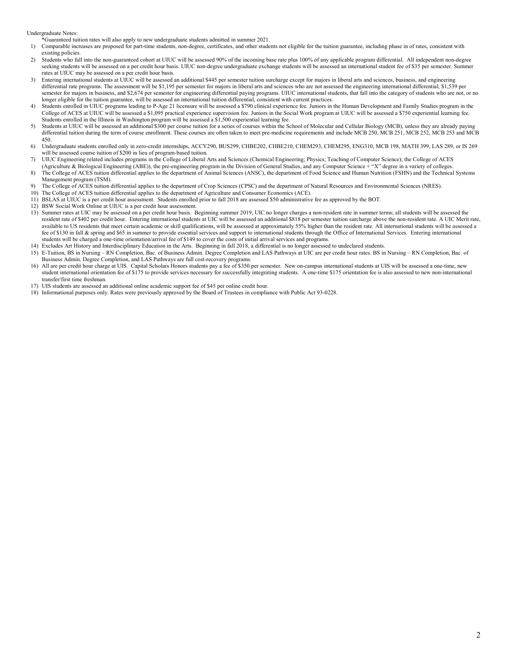Undergraduate Notes:

\*Guaranteed tuition rates will also apply to new undergraduate students admitted in summer 2021.

- 1) Comparable increases are proposed for part-time students, non-degree, certificates, and other students not eligible for the tuition guarantee, including phase in of rates, consistent with existing policies.
- 2) Students who fall into the non-guaranteed cohort at UIUC will be assessed 90% of the incoming base rate plus 100% of any applicable program differential. All independent non-degree seeking students will be assessed on a per credit hour basis. UIUC non-degree undergraduate exchange students will be assessed an international student fee of \$35 per semester. Summer rates at UIUC may be assessed on a per credit hour basis.
- 3) Entering international students at UIUC will be assessed an additional \$445 per semester tuition surcharge except for majors in liberal arts and sciences, business, and engineering differential rate programs. The assessment will be \$1,195 per semester for majors in liberal arts and sciences who are not assessed the engineering international differential, \$1,539 per semester for majors in business, and \$2,674 per semester for engineering differential paying programs. UIUC international students, that fall into the category of students who are not, or no longer eligible for the tuition guarantee, will be assessed an international tuition differential, consistent with current practices.
- Students enrolled in UIUC programs leading to P-Age 21 licensure will be assessed a \$790 clinical experience fee. Juniors in the Human Development and Family Studies program in the College of ACES at UIUC will be assessed a \$1,095 practical experience supervision fee. Juniors in the Social Work program at UIUC will be assessed a \$750 experiential learning fee. Students enrolled in the Illinois in Washington program will be assessed a \$1,500 experiential learning fee.
- 5) Students at UIUC will be assessed an additional \$300 per course tuition for a series of courses within the School of Molecular and Cellular Biology (MCB), unless they are already paying differential tuition during the term of course enrollment. These courses are often taken to meet pre-medicine requirements and include MCB 250, MCB 251, MCB 252, MCB 253 and MCB 450.
- 6) Undergraduate students enrolled only in zero-credit internships, ACCY290, BUS299, CHBE202, CHBE210, CHEM293, CHEM295, ENG310, MCB 198, MATH 399, LAS 289, or IS 269 will be assessed course tuition of \$200 in lieu of program-based tuition.
- 7) UIUC Engineering related includes programs in the College of Liberal Arts and Sciences (Chemical Engineering; Physics; Teaching of Computer Science); the College of ACES
- (Agriculture & Biological Engineering (ABE)), the pre-engineering program in the Division of General Studies, and any Computer Science + "X" degree in a variety of colleges. 8) The College of ACES tuition differential applies to the department of Animal Sciences (ANSC), the department of Food Science and Human Nutrition (FSHN) and the Technical Systems Management program (TSM).
- 9) The College of ACES tuition differential applies to the department of Crop Sciences (CPSC) and the department of Natural Resources and Environmental Sciences (NRES).
- 10) The College of ACES tuition differential applies to the department of Agriculture and Consumer Economics (ACE).
- 11) BSLAS at UIUC is a per credit hour assessment. Students enrolled prior to fall 2018 are assessed \$50 administrative fee as approved by the BOT.
- 12) BSW Social Work Online at UIUC is a per credit hour assessment.
- 13) Summer rates at UIC may be assessed on a per credit hour basis. Beginning summer 2019, UIC no longer charges a non-resident rate in summer terms; all students will be assessed the resident rate of \$402 per credit hour. Entering international students at UIC will be assessed an additional \$818 per semester tuition surcharge above the non-resident rate. A UIC Merit rate, available to US residents that meet certain academic or skill qualifications, will be assessed at approximately 55% higher than the resident rate. All international students will be assessed a fee of \$130 in fall & spring and \$65 in summer to provide essential services and support to international students through the Office of International Services. Entering international students will be charged a one-time orientation/arrival fee of \$149 to cover the costs of initial arrival services and programs.
- 14) Excludes Art History and Interdisciplinary Education in the Arts. Beginning in fall 2018, a differential is no longer assessed to undeclared students.
- 15) E-Tuition, BS in Nursing RN Completion, Bac. of Business Admin. Degree Completion and LAS Pathways at UIC are per credit hour rates. BS in Nursing RN Completion, Bac. of Business Admin. Degree Completion, and LAS Pathways are full cost-recovery programs.
- 16) All are per credit hour charge at UIS. Capital Scholars Honors students pay a fee of \$350 per semester. New on-campus international students at UIS will be assessed a one-time, new student international orientation fee of \$175 to provide services necessary for successfully integrating students. A one-time \$175 orientation fee is also assessed to new non-international transfer/first time freshman.
- 17) UIS students are assessed an additional online academic support fee of \$45 per online credit hour.
- 18) Informational purposes only. Rates were previously approved by the Board of Trustees in compliance with Public Act 93-0228.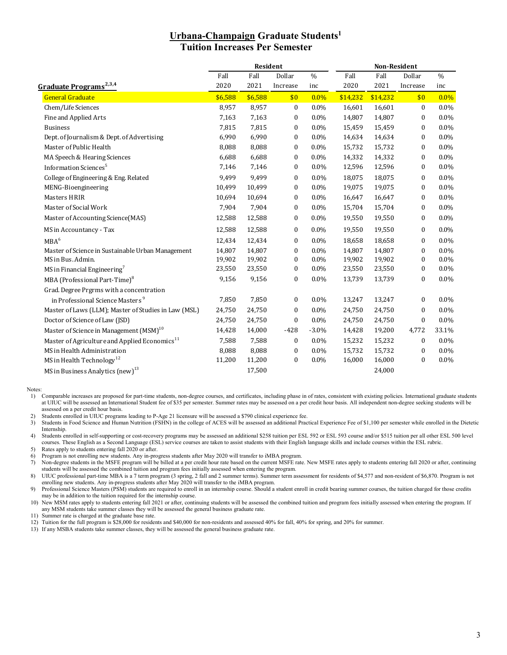## **Urbana-Champaign Graduate Students1 Tuition Increases Per Semester**

|                                                           | <b>Resident</b> |         |                  |         | Non-Resident |          |                  |               |  |
|-----------------------------------------------------------|-----------------|---------|------------------|---------|--------------|----------|------------------|---------------|--|
|                                                           | Fall            | Fall    | Dollar           | $\%$    | Fall         | Fall     | Dollar           | $\frac{0}{0}$ |  |
| Graduate Programs <sup>2,3,4</sup>                        | 2020            | 2021    | Increase         | inc     | 2020         | 2021     | Increase         | inc           |  |
| <b>General Graduate</b>                                   | \$6,588         | \$6,588 | \$0              | 0.0%    | \$14,232     | \$14,232 | \$0              | $0.0\%$       |  |
| Chem/Life Sciences                                        | 8,957           | 8,957   | $\boldsymbol{0}$ | $0.0\%$ | 16,601       | 16,601   | $\mathbf{0}$     | $0.0\%$       |  |
| Fine and Applied Arts                                     | 7,163           | 7,163   | $\bf{0}$         | $0.0\%$ | 14,807       | 14,807   | 0                | 0.0%          |  |
| <b>Business</b>                                           | 7,815           | 7,815   | $\boldsymbol{0}$ | $0.0\%$ | 15,459       | 15,459   | 0                | $0.0\%$       |  |
| Dept. of Journalism & Dept. of Advertising                | 6,990           | 6,990   | 0                | $0.0\%$ | 14,634       | 14,634   | $\mathbf{0}$     | $0.0\%$       |  |
| Master of Public Health                                   | 8,088           | 8,088   | 0                | $0.0\%$ | 15,732       | 15,732   | $\boldsymbol{0}$ | $0.0\%$       |  |
| MA Speech & Hearing Sciences                              | 6,688           | 6,688   | $\boldsymbol{0}$ | 0.0%    | 14,332       | 14,332   | $\boldsymbol{0}$ | 0.0%          |  |
| Information Sciences <sup>5</sup>                         | 7,146           | 7,146   | 0                | $0.0\%$ | 12,596       | 12,596   | $\boldsymbol{0}$ | 0.0%          |  |
| College of Engineering & Eng. Related                     | 9,499           | 9,499   | 0                | $0.0\%$ | 18,075       | 18,075   | $\boldsymbol{0}$ | $0.0\%$       |  |
| MENG-Bioengineering                                       | 10,499          | 10,499  | 0                | $0.0\%$ | 19,075       | 19,075   | $\boldsymbol{0}$ | 0.0%          |  |
| Masters HRIR                                              | 10,694          | 10,694  | 0                | $0.0\%$ | 16,647       | 16,647   | $\boldsymbol{0}$ | 0.0%          |  |
| Master of Social Work                                     | 7,904           | 7,904   | $\boldsymbol{0}$ | $0.0\%$ | 15,704       | 15,704   | $\mathbf{0}$     | 0.0%          |  |
| Master of Accounting Science(MAS)                         | 12,588          | 12,588  | 0                | $0.0\%$ | 19,550       | 19,550   | $\boldsymbol{0}$ | 0.0%          |  |
| MS in Accountancy - Tax                                   | 12,588          | 12,588  | 0                | $0.0\%$ | 19,550       | 19,550   | $\boldsymbol{0}$ | 0.0%          |  |
| MBA <sup>6</sup>                                          | 12,434          | 12,434  | $\boldsymbol{0}$ | $0.0\%$ | 18,658       | 18,658   | $\mathbf{0}$     | $0.0\%$       |  |
| Master of Science in Sustainable Urban Management         | 14,807          | 14,807  | $\boldsymbol{0}$ | $0.0\%$ | 14,807       | 14,807   | $\boldsymbol{0}$ | $0.0\%$       |  |
| MS in Bus. Admin.                                         | 19,902          | 19,902  | 0                | $0.0\%$ | 19,902       | 19,902   | 0                | 0.0%          |  |
| MS in Financial Engineering <sup>7</sup>                  | 23,550          | 23,550  | 0                | $0.0\%$ | 23,550       | 23,550   | 0                | 0.0%          |  |
| MBA (Professional Part-Time) <sup>8</sup>                 | 9,156           | 9,156   | $\bf{0}$         | $0.0\%$ | 13,739       | 13,739   | $\mathbf{0}$     | $0.0\%$       |  |
| Grad. Degree Prgrms with a concentration                  |                 |         |                  |         |              |          |                  |               |  |
| in Professional Science Masters <sup>9</sup>              | 7,850           | 7,850   | 0                | $0.0\%$ | 13,247       | 13,247   | $\boldsymbol{0}$ | $0.0\%$       |  |
| Master of Laws (LLM); Master of Studies in Law (MSL)      | 24,750          | 24,750  | $\bf{0}$         | $0.0\%$ | 24,750       | 24,750   | 0                | $0.0\%$       |  |
| Doctor of Science of Law (JSD)                            | 24,750          | 24,750  | $\bf{0}$         | $0.0\%$ | 24,750       | 24,750   | $\boldsymbol{0}$ | $0.0\%$       |  |
| Master of Science in Management (MSM) <sup>10</sup>       | 14,428          | 14,000  | $-428$           | $-3.0%$ | 14,428       | 19,200   | 4,772            | 33.1%         |  |
| Master of Agriculture and Applied Economics <sup>11</sup> | 7,588           | 7,588   | $\mathbf{0}$     | $0.0\%$ | 15,232       | 15,232   | $\boldsymbol{0}$ | $0.0\%$       |  |
| MS in Health Administration                               | 8,088           | 8,088   | 0                | $0.0\%$ | 15,732       | 15,732   | $\boldsymbol{0}$ | $0.0\%$       |  |
| MS in Health Technology <sup>12</sup>                     | 11,200          | 11,200  | 0                | $0.0\%$ | 16,000       | 16,000   | $\boldsymbol{0}$ | 0.0%          |  |
| MS in Business Analytics $(new)^{13}$                     |                 | 17,500  |                  |         |              | 24,000   |                  |               |  |

Notes:

1) Comparable increases are proposed for part-time students, non-degree courses, and certificates, including phase in of rates, consistent with existing policies. International graduate students at UIUC will be assessed an International Student fee of \$35 per semester. Summer rates may be assessed on a per credit hour basis. All independent non-degree seeking students will be at UIUC will be assessed on a per cred assessed on a per credit hour basis.

2) Students enrolled in UIUC programs leading to P-Age 21 licensure will be assessed a \$790 clinical experience fee.

3) Students in Food Science and Human Nutrition (FSHN) in the college of ACES will be assessed an additional Practical Experience Fee of \$1,100 per semester while enrolled in the Dietetic Internship.

4) Students enrolled in self-supporting or cost-recovery programs may be assessed an additional \$258 tuition per ESL 592 or ESL 593 course and/or \$515 tuition per all other ESL 500 level courses. These English as a Second Language (ESL) service courses are taken to assist students with their English language skills and include courses within the ESL rubric.

5) Rates apply to students entering fall 2020 or after.

6) Program is not enrolling new students. Any in-progress students after May 2020 will transfer to iMBA program.

7) Non-degree students in the MSFE program will be billed at a per credit hour rate based on the current MSFE rate. New MSFE rates apply to students entering fall 2020 or after, continuing students will be assessed the combined tuition and program fees initially assessed when entering the program.

8) UIUC professional part-time MBA is a 7 term program (3 spring, 2 fall and 2 summer terms). Summer term assessment for residents of \$4,577 and non-resident of \$6,870. Program is not enrolling new students. Any in-progress students after May 2020 will transfer to the iMBA program.

9) Professional Science Masters (PSM) students are required to enroll in an internship course. Should a student enroll in credit bearing summer courses, the tuition charged for those credits may be in addition to the tuition required for the internship course.

10) New MSM rates apply to students entering fall 2021 or after, continuing students will be assessed the combined tuition and program fees initially assessed when entering the program. If any MSM students take summer classes they will be assessed the general business graduate rate.

11) Summer rate is charged at the graduate base rate.

12) Tuition for the full program is \$28,000 for residents and \$40,000 for non-residents and assessed 40% for fall, 40% for spring, and 20% for summer.

13) If any MSBA students take summer classes, they will be assessed the general business graduate rate.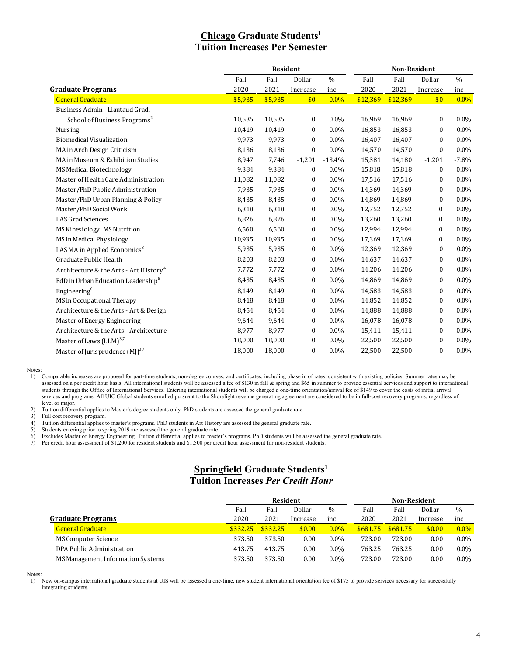# **Chicago Graduate Students1 Tuition Increases Per Semester**

|                                                    | Resident |         |                  |               | <b>Non-Resident</b> |          |                  |               |
|----------------------------------------------------|----------|---------|------------------|---------------|---------------------|----------|------------------|---------------|
|                                                    | Fall     | Fall    | Dollar           | $\frac{0}{0}$ | Fall                | Fall     | Dollar           | $\frac{0}{0}$ |
| <b>Graduate Programs</b>                           | 2020     | 2021    | Increase         | inc           | 2020                | 2021     | Increase         | inc           |
| <b>General Graduate</b>                            | \$5,935  | \$5,935 | \$0              | $0.0\%$       | \$12,369            | \$12,369 | \$0              | $0.0\%$       |
| Business Admin - Liautaud Grad.                    |          |         |                  |               |                     |          |                  |               |
| School of Business Programs <sup>2</sup>           | 10,535   | 10,535  | $\bf{0}$         | $0.0\%$       | 16,969              | 16,969   | $\mathbf{0}$     | 0.0%          |
| <b>Nursing</b>                                     | 10,419   | 10,419  | $\boldsymbol{0}$ | $0.0\%$       | 16,853              | 16,853   | $\mathbf{0}$     | $0.0\%$       |
| <b>Biomedical Visualization</b>                    | 9,973    | 9,973   | $\mathbf{0}$     | $0.0\%$       | 16,407              | 16,407   | $\bf{0}$         | $0.0\%$       |
| MA in Arch Design Criticism                        | 8,136    | 8,136   | $\bf{0}$         | $0.0\%$       | 14,570              | 14,570   | $\bf{0}$         | $0.0\%$       |
| MA in Museum & Exhibition Studies                  | 8,947    | 7,746   | $-1,201$         | $-13.4%$      | 15,381              | 14,180   | $-1,201$         | $-7.8%$       |
| <b>MS Medical Biotechnology</b>                    | 9,384    | 9,384   | $\bf{0}$         | $0.0\%$       | 15,818              | 15,818   | $\bf{0}$         | $0.0\%$       |
| Master of Health Care Administration               | 11,082   | 11,082  | 0                | $0.0\%$       | 17,516              | 17,516   | $\mathbf{0}$     | 0.0%          |
| Master/PhD Public Administration                   | 7,935    | 7,935   | $\boldsymbol{0}$ | 0.0%          | 14,369              | 14,369   | $\boldsymbol{0}$ | 0.0%          |
| Master/PhD Urban Planning & Policy                 | 8,435    | 8,435   | $\boldsymbol{0}$ | $0.0\%$       | 14,869              | 14,869   | $\bf{0}$         | $0.0\%$       |
| Master/PhD Social Work                             | 6,318    | 6,318   | $\boldsymbol{0}$ | $0.0\%$       | 12,752              | 12,752   | 0                | $0.0\%$       |
| LAS Grad Sciences                                  | 6,826    | 6,826   | $\boldsymbol{0}$ | $0.0\%$       | 13,260              | 13,260   | $\mathbf{0}$     | $0.0\%$       |
| MS Kinesiology; MS Nutrition                       | 6,560    | 6,560   | 0                | $0.0\%$       | 12,994              | 12,994   | 0                | $0.0\%$       |
| MS in Medical Physiology                           | 10,935   | 10,935  | $\boldsymbol{0}$ | $0.0\%$       | 17,369              | 17,369   | $\mathbf{0}$     | $0.0\%$       |
| LAS MA in Applied Economics <sup>3</sup>           | 5,935    | 5,935   | $\boldsymbol{0}$ | $0.0\%$       | 12,369              | 12,369   | $\mathbf{0}$     | 0.0%          |
| Graduate Public Health                             | 8,203    | 8,203   | $\bf{0}$         | $0.0\%$       | 14,637              | 14,637   | $\mathbf{0}$     | 0.0%          |
| Architecture & the Arts - Art History <sup>4</sup> | 7,772    | 7,772   | $\bf{0}$         | $0.0\%$       | 14,206              | 14,206   | $\mathbf{0}$     | $0.0\%$       |
| EdD in Urban Education Leadership <sup>5</sup>     | 8,435    | 8,435   | $\mathbf{0}$     | 0.0%          | 14,869              | 14,869   | 0                | $0.0\%$       |
| Engineering <sup>6</sup>                           | 8,149    | 8,149   | $\boldsymbol{0}$ | $0.0\%$       | 14,583              | 14,583   | $\mathbf{0}$     | 0.0%          |
| MS in Occupational Therapy                         | 8,418    | 8,418   | $\bf{0}$         | 0.0%          | 14,852              | 14,852   | $\mathbf{0}$     | $0.0\%$       |
| Architecture & the Arts - Art & Design             | 8,454    | 8,454   | $\bf{0}$         | $0.0\%$       | 14,888              | 14,888   | $\bf{0}$         | $0.0\%$       |
| Master of Energy Engineering                       | 9,644    | 9,644   | $\bf{0}$         | $0.0\%$       | 16,078              | 16,078   | $\mathbf{0}$     | $0.0\%$       |
| Architecture & the Arts - Architecture             | 8,977    | 8,977   | $\bf{0}$         | $0.0\%$       | 15,411              | 15,411   | $\bf{0}$         | $0.0\%$       |
| Master of Laws (LLM) <sup>3,7</sup>                | 18,000   | 18,000  | $\boldsymbol{0}$ | $0.0\%$       | 22,500              | 22,500   | $\mathbf{0}$     | $0.0\%$       |
| Master of Jurisprudence $(MJ)^{3,7}$               | 18,000   | 18,000  | $\mathbf{0}$     | $0.0\%$       | 22,500              | 22,500   | $\overline{0}$   | 0.0%          |

Notes:

1) Comparable increases are proposed for part-time students, non-degree courses, and certificates, including phase in of rates, consistent with existing policies. Summer rates may be assessed on a per credit hour basis. All international students will be assessed a fee of \$130 in fall & spring and \$65 in summer to provide essential services and support to international students through the Office of International Services. Entering international students will be charged a one-time orientation/arrival fee of \$149 to cover the costs of initial arrival services and programs. All UIC Global students enrolled pursuant to the Shorelight revenue generating agreement are considered to be in full-cost recovery programs, regardless of level or major.

2) Tuition differential applies to Master's degree students only. PhD students are assessed the general graduate rate.<br>3) Full cost recovery program.

3) Full cost recovery program.<br>4) Tuition differential applies t

4) Tuition differential applies to master's programs. PhD students in Art History are assessed the general graduate rate.<br>5) Students entering prior to spring 2019 are assessed the general graduate rate.

5) Students entering prior to spring 2019 are assessed the general graduate rate.

6) Excludes Master of Energy Engineering. Tuition differential applies to master's programs. PhD students will be assessed the general graduate rate.

Per credit hour assessment of \$1,200 for resident students and \$1,500 per credit hour assessment for non-resident students.

#### **Springfield Graduate Students1 Tuition Increases** *Per Credit Hour*

|                                   | Resident |          |          | <b>Non-Resident</b> |          |          |          |               |
|-----------------------------------|----------|----------|----------|---------------------|----------|----------|----------|---------------|
|                                   | Fall     | Fall     | Dollar   | $\%$                | Fall     | Fall     | Dollar   | $\frac{0}{0}$ |
| <b>Graduate Programs</b>          | 2020     | 2021     | Increase | inc                 | 2020     | 2021     | Increase | inc           |
| <b>General Graduate</b>           | \$332.25 | \$332.25 | \$0.00   | $0.0\%$             | \$681.75 | \$681.75 | \$0.00   | $0.0\%$       |
| <b>MS Computer Science</b>        | 373.50   | 373.50   | 0.00     | $0.0\%$             | 723.00   | 723.00   | 0.00     | $0.0\%$       |
| DPA Public Administration         | 413.75   | 413.75   | 0.00     | $0.0\%$             | 763.25   | 763.25   | 0.00     | $0.0\%$       |
| MS Management Information Systems | 373.50   | 373.50   | 0.00     | $0.0\%$             | 723.00   | 723.00   | 0.00     | $0.0\%$       |

Notes:

1) New on-campus international graduate students at UIS will be assessed a one-time, new student international orientation fee of \$175 to provide services necessary for successfully integrating students.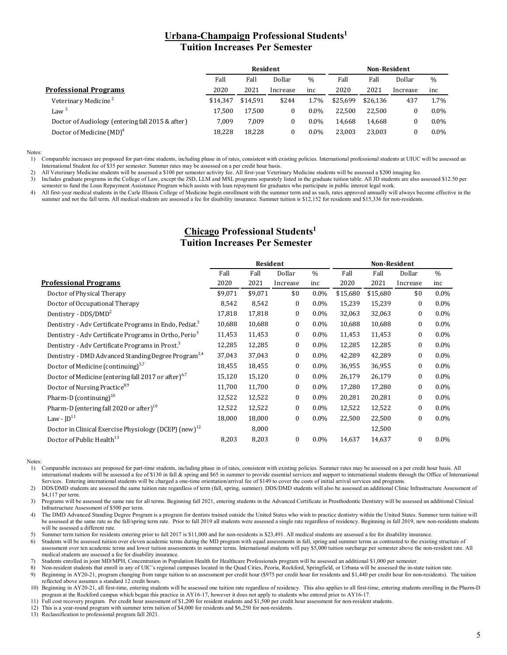#### **Urbana-Champaign Professional Students1 Tuition Increases Per Semester**

| <b>Resident</b> |          |          |               | <b>Non-Resident</b> |          |          |         |
|-----------------|----------|----------|---------------|---------------------|----------|----------|---------|
| Fall            | Fall     | Dollar   | $\frac{0}{0}$ | Fall                | Fall     | Dollar   | $\%$    |
| 2020            | 2021     | Increase | inc           | 2020                | 2021     | Increase | inc     |
| \$14.347        | \$14.591 | \$244    | 1.7%          | \$25.699            | \$26.136 | 437      | 1.7%    |
| 17.500          | 17.500   | 0        | $0.0\%$       | 22.500              | 22.500   |          | $0.0\%$ |
| 7.009           | 7.009    | 0        | $0.0\%$       | 14.668              | 14.668   |          | $0.0\%$ |
| 18.228          | 18,228   | $\bf{0}$ | $0.0\%$       | 23.003              | 23.003   |          | $0.0\%$ |
|                 |          |          |               |                     |          |          |         |

Notes:<br> $\frac{1}{1}$ 

1) Comparable increases are proposed for part-time students, including phase in of rates, consistent with existing policies. International professional students at UIUC will be assessed an International Student fee of \$35 per semester. Summer rates may be assessed on a per credit hour basis.

2) All Veterinary Medicine students will be assessed a \$100 per semester activity fee. All first-year Veterinary Medicine students will be assessed a \$200 imaging fee.

3) Includes graduate programs in the College of Law, except the JSD, LLM and MSL programs separately listed in the graduate tuition table. All JD students are also assessed \$12.50 per semester to fund the Loan Repayment Assistance Program which assists with loan repayment for graduates who participate in public interest legal work.

4) All first-year medical students in the Carle Illinois College of Medicine begin enrollment with the summer term and as such, rates approved annually will always become effective in the summer and not the fall term. All medical students are assessed a fee for disability insurance. Summer tuition is \$12,152 for residents and \$15,336 for non-residents.

## **Chicago Professional Students1 Tuition Increases Per Semester**

|                                                                    | Resident |         |              |         | <b>Non-Resident</b> |          |                  |               |
|--------------------------------------------------------------------|----------|---------|--------------|---------|---------------------|----------|------------------|---------------|
|                                                                    | Fall     | Fall    | Dollar       | $\%$    | Fall                | Fall     | Dollar           | $\frac{0}{0}$ |
| <b>Professional Programs</b>                                       | 2020     | 2021    | Increase     | inc     | 2020                | 2021     | Increase         | inc           |
| Doctor of Physical Therapy                                         | \$9,071  | \$9,071 | \$0          | $0.0\%$ | \$15,680            | \$15,680 | \$0              | $0.0\%$       |
| Doctor of Occupational Therapy                                     | 8,542    | 8,542   | 0            | $0.0\%$ | 15,239              | 15,239   | 0                | $0.0\%$       |
| Dentistry - DDS/DMD <sup>2</sup>                                   | 17,818   | 17,818  | 0            | $0.0\%$ | 32,063              | 32,063   | 0                | $0.0\%$       |
| Dentistry - Adv Certificate Programs in Endo, Pediat. <sup>3</sup> | 10,688   | 10,688  | $\mathbf{0}$ | $0.0\%$ | 10,688              | 10,688   | $\boldsymbol{0}$ | $0.0\%$       |
| Dentistry - Adv Certificate Programs in Ortho, Perio <sup>3</sup>  | 11,453   | 11,453  | $\mathbf{0}$ | $0.0\%$ | 11,453              | 11,453   | $\mathbf{0}$     | $0.0\%$       |
| Dentistry - Adv Certificate Programs in Prost. <sup>3</sup>        | 12,285   | 12,285  | $\mathbf{0}$ | $0.0\%$ | 12,285              | 12,285   | $\bf{0}$         | $0.0\%$       |
| Dentistry - DMD Advanced Standing Degree Program <sup>2,4</sup>    | 37,043   | 37,043  | $\mathbf{0}$ | $0.0\%$ | 42,289              | 42,289   | $\bf{0}$         | $0.0\%$       |
| Doctor of Medicine (continuing) <sup>5,7</sup>                     | 18,455   | 18,455  | $\mathbf{0}$ | $0.0\%$ | 36,955              | 36,955   | $\bf{0}$         | $0.0\%$       |
| Doctor of Medicine (entering fall 2017 or after) <sup>6,7</sup>    | 15,120   | 15,120  | 0            | $0.0\%$ | 26,179              | 26,179   | $\bf{0}$         | $0.0\%$       |
| Doctor of Nursing Practice <sup>8,9</sup>                          | 11,700   | 11,700  | $\mathbf{0}$ | $0.0\%$ | 17,280              | 17,280   | $\bf{0}$         | $0.0\%$       |
| Pharm-D (continuing) $10$                                          | 12,522   | 12,522  | 0            | $0.0\%$ | 20,281              | 20,281   | $\bf{0}$         | $0.0\%$       |
| Pharm-D (entering fall 2020 or after) <sup>10</sup>                | 12,522   | 12,522  | $\mathbf{0}$ | $0.0\%$ | 12,522              | 12,522   | $\bf{0}$         | $0.0\%$       |
| Law - $ID11$                                                       | 18,000   | 18,000  | $\mathbf{0}$ | $0.0\%$ | 22,500              | 22,500   | $\bf{0}$         | $0.0\%$       |
| Doctor in Clinical Exercise Physiology (DCEP) (new) <sup>12</sup>  |          | 8,000   |              |         |                     | 12,500   |                  |               |
| Doctor of Public Health <sup>13</sup>                              | 8,203    | 8,203   | $\mathbf{0}$ | $0.0\%$ | 14,637              | 14,637   | $\mathbf{0}$     | $0.0\%$       |

Notes:

1) Comparable increases are proposed for part-time students, including phase in of rates, consistent with existing policies. Summer rates may be assessed on a per credit hour basis. All international students will be assessed a fee of \$130 in fall & spring and \$65 in summer to provide essential services and support to international students through the Office of International Services. Entering international students will be charged a one-time orientation/arrival fee of \$149 to cover the costs of initial arrival services and programs.

2) DDS/DMD students are assessed the same tuition rate regardless of term (fall, spring, summer). DDS/DMD students will also be assessed an additional Clinic Infrastructure Assessment of \$4,117 per term.

3) Programs will be assessed the same rate for all terms. Beginning fall 2021, entering students in the Advanced Certificate in Prosthodontic Dentistry will be assessed an additional Clinical Infrastructure Assessment of \$500 per term.

4) The DMD Advanced Standing Degree Program is a program for dentists trained outside the United States who wish to practice dentistry within the United States. Summer term tuition will be assessed at the same rate as the fall/spring term rate. Prior to fall 2019 all students were assessed a single rate regardless of residency. Beginning in fall 2019, new non-residents students will be assessed a different rate.

5) Summer term tuition for residents entering prior to fall 2017 is \$11,000 and for non-residents is \$23,491. All medical students are assessed a fee for disability insurance.

6) Students will be assessed tuition over eleven academic terms during the MD program with equal assessments in fall, spring and summer terms as contrasted to the existing structure of assessment over ten academic terms and lower tuition assessments in summer terms. International students will pay \$5,000 tuition surcharge per semester above the non-resident rate. All medical students are assessed a fee for disability insurance.

7) Students enrolled in joint MD/MPH, Concentration in Population Health for Healthcare Professionals program will be assessed an additional \$1,000 per semester.

8) Non-resident students that enroll in any of UIC's regional campuses located in the Quad Cities, Peoria, Rockford, Springfield, or Urbana will be assessed the in-state tuition rate. Beginning in AY20-21, program changing from range tuition to an assessment per credit hour (\$975 per credit hour for residents and \$1,440 per credit hour for non-residents). The tuition

reflected above assumes a standard 12 credit hours. 10) Beginning in AY20-21, all first-time, entering students will be assessed one tuition rate regardless of residency. This also applies to all first-time, entering students enrolling in the Pharm-D

program at the Rockford campus which began this practice in AY16-17, however it does not apply to students who entered prior to AY16-17.

11) Full cost recovery program. Per credit hour assessment of \$1,200 for resident students and \$1,500 per credit hour assessment for non-resident students.

12) This is a year-round program with summer term tuition of \$4,000 for residents and \$6,250 for non-residents.

13) Reclassification to professional program fall 2021.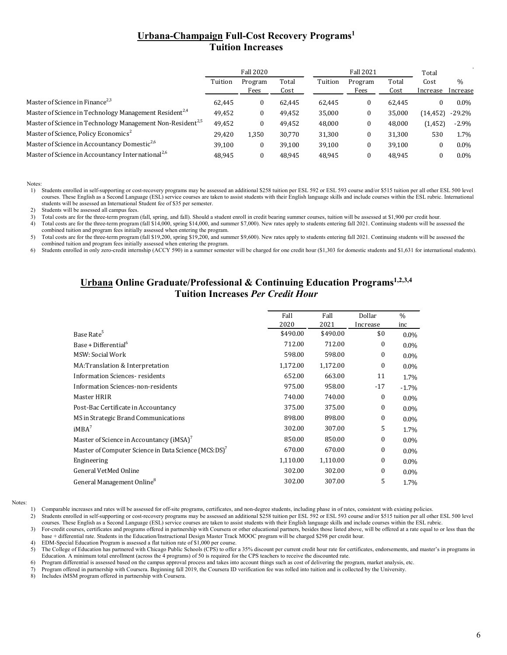# **Urbana-Champaign Full-Cost Recovery Programs1 Tuition Increases**

|                                                                        | <b>Fall 2020</b> |                 |               |         | <b>Fall 2021</b> |               |                  |                           |
|------------------------------------------------------------------------|------------------|-----------------|---------------|---------|------------------|---------------|------------------|---------------------------|
|                                                                        | Tuition          | Program<br>Fees | Total<br>Cost | Tuition | Program<br>Fees  | Total<br>Cost | Cost<br>Increase | $\frac{0}{0}$<br>Increase |
| Master of Science in Finance <sup>2,3</sup>                            | 62.445           | 0               | 62.445        | 62,445  | 0                | 62.445        |                  | $0.0\%$                   |
| Master of Science in Technology Management Resident <sup>2,4</sup>     | 49,452           | 0               | 49,452        | 35,000  | 0                | 35,000        | (14, 452)        | $-29.2\%$                 |
| Master of Science in Technology Management Non-Resident <sup>2,5</sup> | 49,452           | 0               | 49.452        | 48,000  | 0                | 48,000        | (1,452)          | $-2.9\%$                  |
| Master of Science, Policy Economics <sup>2</sup>                       | 29,420           | 1,350           | 30,770        | 31,300  | 0                | 31,300        | 530              | 1.7%                      |
| Master of Science in Accountancy Domestic <sup>2,6</sup>               | 39,100           | $\bf{0}$        | 39.100        | 39,100  | 0                | 39,100        |                  | $0.0\%$                   |
| Master of Science in Accountancy International <sup>2,6</sup>          | 48.945           |                 | 48.945        | 48.945  | 0                | 48.945        |                  | $0.0\%$                   |

Notes:

1) Students enrolled in self-supporting or cost-recovery programs may be assessed an additional \$258 tuition per ESL 592 or ESL 593 course and/or \$515 tuition per all other ESL 500 level courses. These English as a Second Language (ESL) service courses are taken to assist students with their English language skills and include courses within the ESL rubric. International students will be assessed an International Student fee of \$35 per semester.

2) Students will be assessed all campus fees.

3) Total costs are for the three-term program (fall, spring, and fall). Should a student enroll in credit bearing summer courses, tuition will be assessed at \$1,900 per credit hour.

4) Total costs are for the three-term program (fall \$14,000, spring \$14,000, and summer \$7,000). New rates apply to students entering fall 2021. Continuing students will be assessed the combined tuition and program fees initially assessed when entering the program.

5) Total costs are for the three-term program (fall \$19,200, spring \$19,200, and summer \$9,600). New rates apply to students entering fall 2021. Continuing students will be assessed the combined tuition and program fees initially assessed when entering the program.

6) Students enrolled in only zero-credit internship (ACCY 590) in a summer semester will be charged for one credit hour (\$1,303 for domestic students and \$1,631 for international students).

## Urbana Online Graduate/Professional & Continuing Education Programs<sup>1,2,3,4</sup> **Tuition Increases** *Per Credit Hour*

|                                                                  | Fall     | Fall     | Dollar       | $\frac{0}{0}$ |
|------------------------------------------------------------------|----------|----------|--------------|---------------|
|                                                                  | 2020     | 2021     | Increase     | inc           |
| Base Rate <sup>5</sup>                                           | \$490.00 | \$490.00 | \$0          | $0.0\%$       |
| Base + Differential <sup>6</sup>                                 | 712.00   | 712.00   | $\bf{0}$     | 0.0%          |
| MSW: Social Work                                                 | 598.00   | 598.00   | $\mathbf{0}$ | 0.0%          |
| MA: Translation & Interpretation                                 | 1,172.00 | 1,172.00 | $\bf{0}$     | 0.0%          |
| <b>Information Sciences-residents</b>                            | 652.00   | 663.00   | 11           | 1.7%          |
| Information Sciences-non-residents                               | 975.00   | 958.00   | $-17$        | $-1.7%$       |
| Master HRIR                                                      | 740.00   | 740.00   | $\mathbf{0}$ | 0.0%          |
| Post-Bac Certificate in Accountancy                              | 375.00   | 375.00   | $\mathbf{0}$ | 0.0%          |
| MS in Strategic Brand Communications                             | 898.00   | 898.00   | $\mathbf{0}$ | 0.0%          |
| $iMBA^7$                                                         | 302.00   | 307.00   | 5            | 1.7%          |
| Master of Science in Accountancy (iMSA) <sup>7</sup>             | 850.00   | 850.00   | $\mathbf{0}$ | 0.0%          |
| Master of Computer Science in Data Science (MCS:DS) <sup>7</sup> | 670.00   | 670.00   | $\mathbf{0}$ | 0.0%          |
| Engineering                                                      | 1,110.00 | 1,110.00 | $\mathbf{0}$ | 0.0%          |
| General VetMed Online                                            | 302.00   | 302.00   | $\bf{0}$     | 0.0%          |
| General Management Online <sup>8</sup>                           | 302.00   | 307.00   | 5            | 1.7%          |
|                                                                  |          |          |              |               |

Notes:

1) Comparable increases and rates will be assessed for off-site programs, certificates, and non-degree students, including phase in of rates, consistent with existing policies.

2) Students enrolled in self-supporting or cost-recovery programs may be assessed an additional \$258 tuition per ESL 592 or ESL 593 course and/or \$515 tuition per all other ESL 500 level courses. These English as a Second Language (ESL) service courses are taken to assist students with their English language skills and include courses within the ESL rubric.

3) For-credit courses, certificates and programs offered in partnership with Coursera or other educational partners, besides those listed above, will be offered at a rate equal to or less than the base + differential rate. Students in the Education/Instructional Design Master Track MOOC program will be charged \$298 per credit hour.

4) EDM-Special Education Program is assessed a flat tuition rate of \$1,000 per course.<br>5) The College of Education has partnered with Chicago Public Schools (CPS) to offer

The College of Education has partnered with Chicago Public Schools (CPS) to offer a 35% discount per current credit hour rate for certificates, endorsements, and master's in programs in Education. A minimum total enrollment (across the 4 programs) of 50 is required for the CPS teachers to receive the discounted rate.

6) Program differential is assessed based on the campus approval process and takes into account things such as cost of delivering the program, market analysis, etc.

7) Program offered in partnership with Coursera. Beginning fall 2019, the Coursera ID verification fee was rolled into tuition and is collected by the University.

8) Includes iMSM program offered in partnership with Coursera.